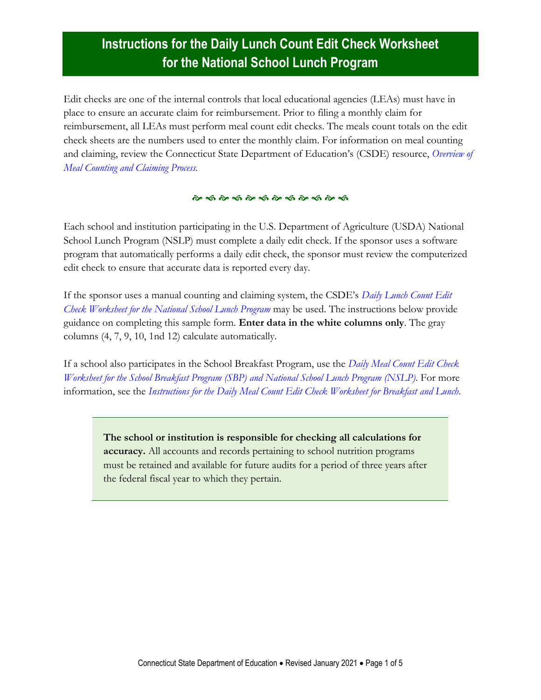# **Instructions for the Daily Lunch Count Edit Check Worksheet for the National School Lunch Program**

Edit checks are one of the internal controls that local educational agencies (LEAs) must have in place to ensure an accurate claim for reimbursement. Prior to filing a monthly claim for reimbursement, all LEAs must perform meal count edit checks. The meals count totals on the edit check sheets are the numbers used to enter the monthly claim. For information on meal counting and claiming, review the Connecticut State Department of Education's (CSDE) resource, *[Overview of](https://portal.ct.gov/-/media/SDE/Nutrition/NSLP/Forms/MealCount/MealCountingClaimingSNP.pdf)  [Meal Counting and Claiming Process.](https://portal.ct.gov/-/media/SDE/Nutrition/NSLP/Forms/MealCount/MealCountingClaimingSNP.pdf)*

#### 

Each school and institution participating in the U.S. Department of Agriculture (USDA) National School Lunch Program (NSLP) must complete a daily edit check. If the sponsor uses a software program that automatically performs a daily edit check, the sponsor must review the computerized edit check to ensure that accurate data is reported every day.

If the sponsor uses a manual counting and claiming system, the CSDE's *[Daily Lunch Count Edit](https://portal.ct.gov/-/media/SDE/Nutrition/NSLP/Forms/MealCount/EditCheckWorksheet_Lunch.xlsx)  [Check Worksheet for the National School Lunch Program](https://portal.ct.gov/-/media/SDE/Nutrition/NSLP/Forms/MealCount/EditCheckWorksheet_Lunch.xlsx)* may be used. The instructions below provide guidance on completing this sample form. **Enter data in the white columns only**. The gray columns (4, 7, 9, 10, 1nd 12) calculate automatically.

If a school also participates in the School Breakfast Program, use the *[Daily Meal Count Edit Check](https://portal.ct.gov/-/media/SDE/Nutrition/NSLP/Forms/MealCount/EditCheckWorksheet_BreakfastLunch.xlsx)  [Worksheet for the School Breakfast Program \(SBP\) and National School Lunch Program \(NSLP\)](https://portal.ct.gov/-/media/SDE/Nutrition/NSLP/Forms/MealCount/EditCheckWorksheet_BreakfastLunch.xlsx)*. For more information, see the *[Instructions for the Daily Meal Count Edit Check Worksheet for Breakfast and Lunch](https://portal.ct.gov/-/media/SDE/Nutrition/NSLP/Forms/MealCount/EditCheckWorksheet_BreakfastLunch_Instructions.pdf)*.

**The school or institution is responsible for checking all calculations for accuracy.** All accounts and records pertaining to school nutrition programs must be retained and available for future audits for a period of three years after the federal fiscal year to which they pertain.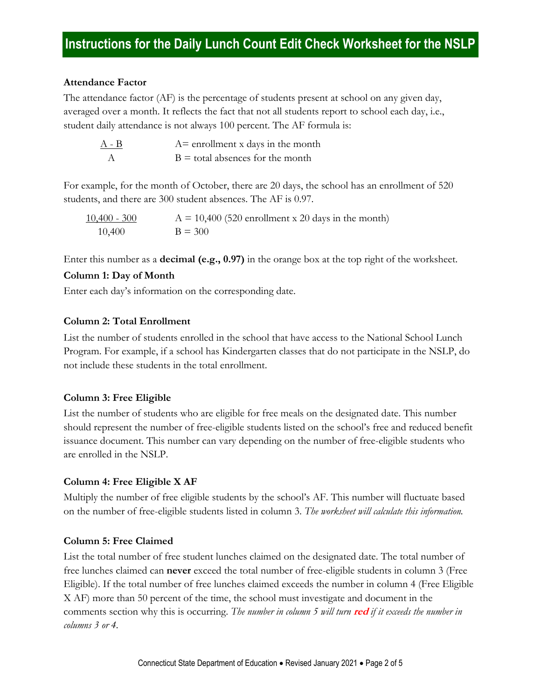### **Attendance Factor**

The attendance factor (AF) is the percentage of students present at school on any given day, averaged over a month. It reflects the fact that not all students report to school each day, i.e., student daily attendance is not always 100 percent. The AF formula is:

| $A - B$ | $A=$ enrollment x days in the month |
|---------|-------------------------------------|
|         | $B =$ total absences for the month  |

For example, for the month of October, there are 20 days, the school has an enrollment of 520 students, and there are 300 student absences. The AF is 0.97.

| $10,400 - 300$ | $A = 10,400$ (520 enrollment x 20 days in the month) |
|----------------|------------------------------------------------------|
| 10,400         | $B = 300$                                            |

Enter this number as a **decimal (e.g., 0.97)** in the orange box at the top right of the worksheet.

### **Column 1: Day of Month**

Enter each day's information on the corresponding date.

### **Column 2: Total Enrollment**

List the number of students enrolled in the school that have access to the National School Lunch Program. For example, if a school has Kindergarten classes that do not participate in the NSLP, do not include these students in the total enrollment.

## **Column 3: Free Eligible**

List the number of students who are eligible for free meals on the designated date. This number should represent the number of free-eligible students listed on the school's free and reduced benefit issuance document. This number can vary depending on the number of free-eligible students who are enrolled in the NSLP.

## **Column 4: Free Eligible X AF**

Multiply the number of free eligible students by the school's AF. This number will fluctuate based on the number of free-eligible students listed in column 3. *The worksheet will calculate this information.*

## **Column 5: Free Claimed**

List the total number of free student lunches claimed on the designated date. The total number of free lunches claimed can **never** exceed the total number of free-eligible students in column 3 (Free Eligible). If the total number of free lunches claimed exceeds the number in column 4 (Free Eligible X AF) more than 50 percent of the time, the school must investigate and document in the comments section why this is occurring. *The number in column 5 will turn* **red** *if it exceeds the number in columns 3 or 4.*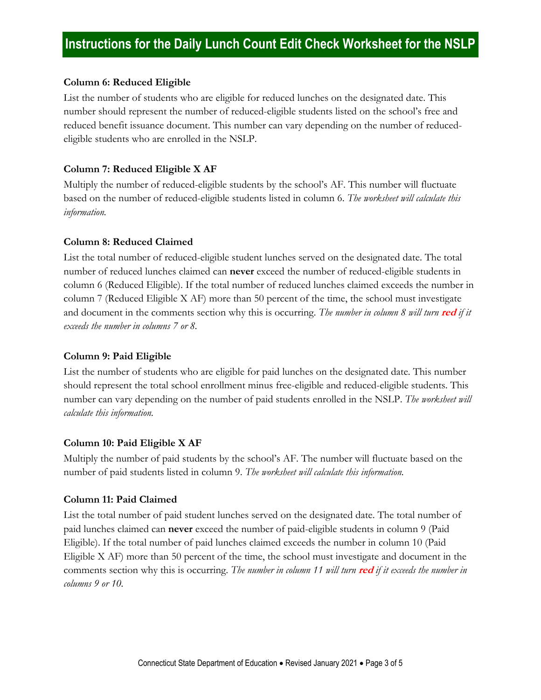# **Instructions for the Daily Lunch Count Edit Check Worksheet for the NSLP**

#### **Column 6: Reduced Eligible**

List the number of students who are eligible for reduced lunches on the designated date. This number should represent the number of reduced-eligible students listed on the school's free and reduced benefit issuance document. This number can vary depending on the number of reducedeligible students who are enrolled in the NSLP.

#### **Column 7: Reduced Eligible X AF**

Multiply the number of reduced-eligible students by the school's AF. This number will fluctuate based on the number of reduced-eligible students listed in column 6. *The worksheet will calculate this information.*

#### **Column 8: Reduced Claimed**

List the total number of reduced-eligible student lunches served on the designated date. The total number of reduced lunches claimed can **never** exceed the number of reduced-eligible students in column 6 (Reduced Eligible). If the total number of reduced lunches claimed exceeds the number in column 7 (Reduced Eligible X AF) more than 50 percent of the time, the school must investigate and document in the comments section why this is occurring. The number in column 8 will turn red if it *exceeds the number in columns 7 or 8.*

#### **Column 9: Paid Eligible**

List the number of students who are eligible for paid lunches on the designated date. This number should represent the total school enrollment minus free-eligible and reduced-eligible students. This number can vary depending on the number of paid students enrolled in the NSLP. *The worksheet will calculate this information.*

#### **Column 10: Paid Eligible X AF**

Multiply the number of paid students by the school's AF. The number will fluctuate based on the number of paid students listed in column 9. *The worksheet will calculate this information.*

#### **Column 11: Paid Claimed**

List the total number of paid student lunches served on the designated date. The total number of paid lunches claimed can **never** exceed the number of paid-eligible students in column 9 (Paid Eligible). If the total number of paid lunches claimed exceeds the number in column 10 (Paid Eligible X AF) more than 50 percent of the time, the school must investigate and document in the comments section why this is occurring. *The number in column 11 will turn* **red** *if it exceeds the number in columns 9 or 10.*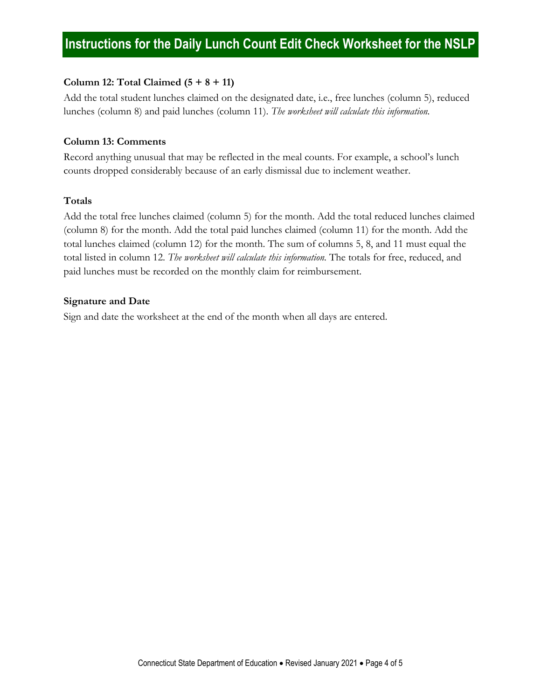## **Column 12: Total Claimed (5 + 8 + 11)**

Add the total student lunches claimed on the designated date, i.e., free lunches (column 5), reduced lunches (column 8) and paid lunches (column 11). *The worksheet will calculate this information.*

## **Column 13: Comments**

Record anything unusual that may be reflected in the meal counts. For example, a school's lunch counts dropped considerably because of an early dismissal due to inclement weather.

## **Totals**

Add the total free lunches claimed (column 5) for the month. Add the total reduced lunches claimed (column 8) for the month. Add the total paid lunches claimed (column 11) for the month. Add the total lunches claimed (column 12) for the month. The sum of columns 5, 8, and 11 must equal the total listed in column 12. *The worksheet will calculate this information.* The totals for free, reduced, and paid lunches must be recorded on the monthly claim for reimbursement.

## **Signature and Date**

Sign and date the worksheet at the end of the month when all days are entered.